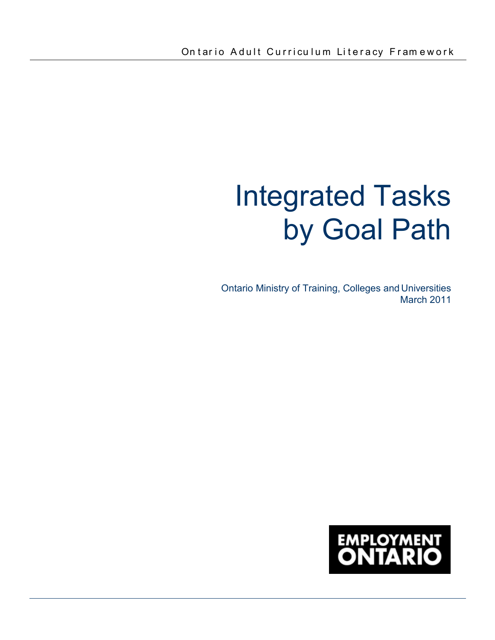# Integrated Tasks by Goal Path

Ontario Ministry of Training, Colleges and Universities March 2011

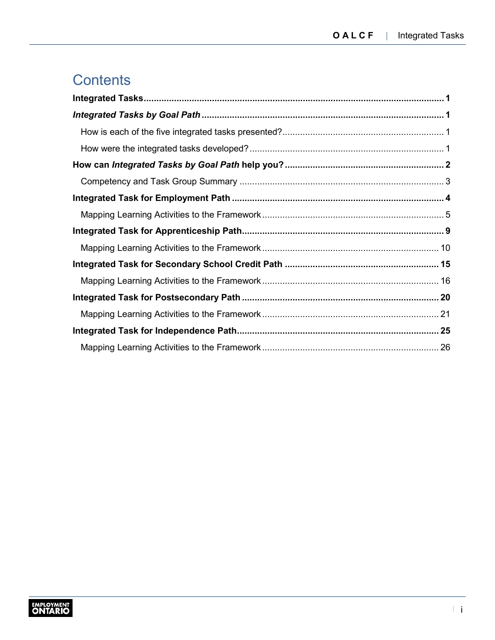j

# **Contents**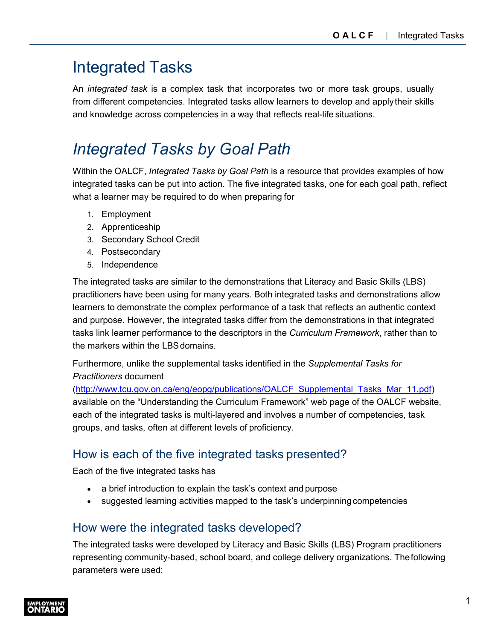# <span id="page-2-0"></span>Integrated Tasks

An *integrated task* is a complex task that incorporates two or more task groups, usually from different competencies. Integrated tasks allow learners to develop and applytheir skills and knowledge across competencies in a way that reflects real-life situations.

# <span id="page-2-1"></span>*Integrated Tasks by Goal Path*

Within the OALCF, *Integrated Tasks by Goal Path* is a resource that provides examples of how integrated tasks can be put into action. The five integrated tasks, one for each goal path, reflect what a learner may be required to do when preparing for

- 1. Employment
- 2. Apprenticeship
- 3. Secondary School Credit
- 4. Postsecondary
- 5. Independence

The integrated tasks are similar to the demonstrations that Literacy and Basic Skills (LBS) practitioners have been using for many years. Both integrated tasks and demonstrations allow learners to demonstrate the complex performance of a task that reflects an authentic context and purpose. However, the integrated tasks differ from the demonstrations in that integrated tasks link learner performance to the descriptors in the *Curriculum Framework*, rather than to the markers within the LBSdomains.

Furthermore, unlike the supplemental tasks identified in the *Supplemental Tasks for Practitioners* document

([http://www.tcu.gov.on.ca/eng/eopg/publications/OALCF\\_Supplemental\\_Tasks\\_Mar\\_11.pdf\)](http://www.tcu.gov.on.ca/eng/eopg/publications/OALCF_Supplemental_Tasks_Mar_11.pdf) available on the "Understanding the Curriculum Framework" web page of the OALCF website, each of the integrated tasks is multi-layered and involves a number of competencies, task groups, and tasks, often at different levels of proficiency.

# <span id="page-2-2"></span>How is each of the five integrated tasks presented?

Each of the five integrated tasks has

- a brief introduction to explain the task's context and purpose
- suggested learning activities mapped to the task's underpinningcompetencies

# <span id="page-2-3"></span>How were the integrated tasks developed?

The integrated tasks were developed by Literacy and Basic Skills (LBS) Program practitioners representing community-based, school board, and college delivery organizations. Thefollowing parameters were used:

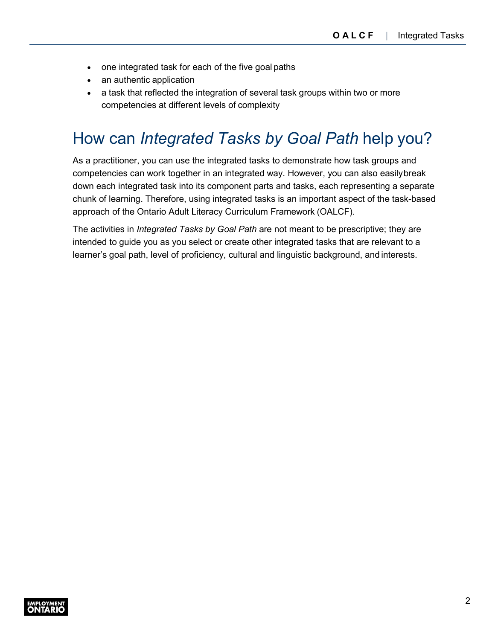- one integrated task for each of the five goal paths
- an authentic application
- a task that reflected the integration of several task groups within two or more competencies at different levels of complexity

# <span id="page-3-0"></span>How can *Integrated Tasks by Goal Path* help you?

As a practitioner, you can use the integrated tasks to demonstrate how task groups and competencies can work together in an integrated way. However, you can also easilybreak down each integrated task into its component parts and tasks, each representing a separate chunk of learning. Therefore, using integrated tasks is an important aspect of the task-based approach of the Ontario Adult Literacy Curriculum Framework (OALCF).

The activities in *Integrated Tasks by Goal Path* are not meant to be prescriptive; they are intended to guide you as you select or create other integrated tasks that are relevant to a learner's goal path, level of proficiency, cultural and linguistic background, and interests.

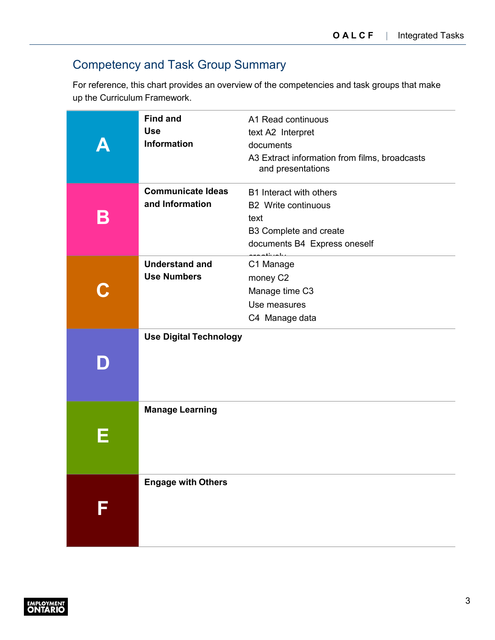# <span id="page-4-0"></span>Competency and Task Group Summary

For reference, this chart provides an overview of the competencies and task groups that make up the Curriculum Framework.

|   | <b>Find and</b><br><b>Use</b><br><b>Information</b> | A1 Read continuous<br>text A2 Interpret<br>documents<br>A3 Extract information from films, broadcasts<br>and presentations             |
|---|-----------------------------------------------------|----------------------------------------------------------------------------------------------------------------------------------------|
| B | <b>Communicate Ideas</b><br>and Information         | B1 Interact with others<br><b>B2</b> Write continuous<br>text<br>B3 Complete and create<br>documents B4 Express oneself<br>متعلم متلقة |
|   | <b>Understand and</b><br><b>Use Numbers</b>         | C1 Manage<br>money C2<br>Manage time C3<br>Use measures<br>C4 Manage data                                                              |
|   | <b>Use Digital Technology</b>                       |                                                                                                                                        |
|   | <b>Manage Learning</b>                              |                                                                                                                                        |
|   | <b>Engage with Others</b>                           |                                                                                                                                        |

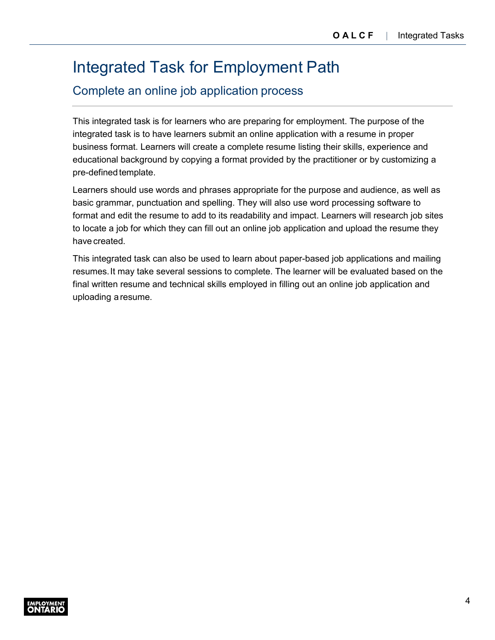j

# <span id="page-5-0"></span>Integrated Task for Employment Path

### Complete an online job application process

This integrated task is for learners who are preparing for employment. The purpose of the integrated task is to have learners submit an online application with a resume in proper business format. Learners will create a complete resume listing their skills, experience and educational background by copying a format provided by the practitioner or by customizing a pre-defined template.

Learners should use words and phrases appropriate for the purpose and audience, as well as basic grammar, punctuation and spelling. They will also use word processing software to format and edit the resume to add to its readability and impact. Learners will research job sites to locate a job for which they can fill out an online job application and upload the resume they have created.

This integrated task can also be used to learn about paper-based job applications and mailing resumes.It may take several sessions to complete. The learner will be evaluated based on the final written resume and technical skills employed in filling out an online job application and uploading a resume.

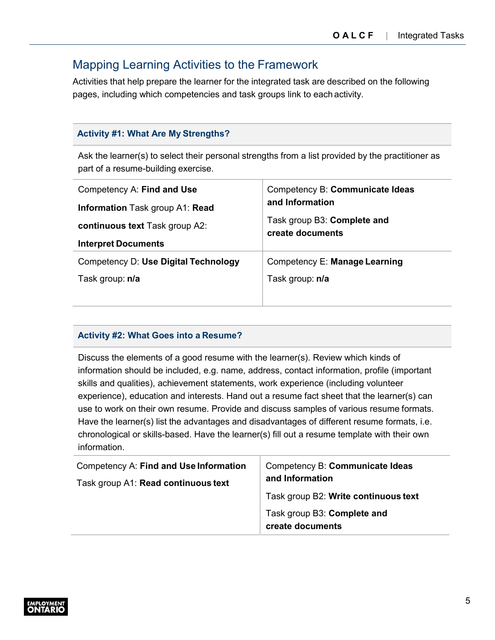### <span id="page-6-0"></span>Mapping Learning Activities to the Framework

Activities that help prepare the learner for the integrated task are described on the following pages, including which competencies and task groups link to each activity.

### **Activity #1: What Are My Strengths?**

Ask the learner(s) to select their personal strengths from a list provided by the practitioner as part of a resume-building exercise.

| Competency A: Find and Use<br><b>Information Task group A1: Read</b><br>continuous text Task group A2:<br><b>Interpret Documents</b> | Competency B: Communicate Ideas<br>and Information<br>Task group B3: Complete and<br>create documents |
|--------------------------------------------------------------------------------------------------------------------------------------|-------------------------------------------------------------------------------------------------------|
| Competency D: Use Digital Technology                                                                                                 | Competency E: Manage Learning                                                                         |
| Task group: n/a                                                                                                                      | Task group: n/a                                                                                       |

### **Activity #2: What Goes into a Resume?**

Discuss the elements of a good resume with the learner(s). Review which kinds of information should be included, e.g. name, address, contact information, profile (important skills and qualities), achievement statements, work experience (including volunteer experience), education and interests. Hand out a resume fact sheet that the learner(s) can use to work on their own resume. Provide and discuss samples of various resume formats. Have the learner(s) list the advantages and disadvantages of different resume formats, i.e. chronological or skills-based. Have the learner(s) fill out a resume template with their own information.

| Competency A: Find and Use Information<br>Task group A1: Read continuous text | Competency B: Communicate Ideas<br>and Information<br>Task group B2: Write continuous text<br>Task group B3: Complete and |
|-------------------------------------------------------------------------------|---------------------------------------------------------------------------------------------------------------------------|
|                                                                               | create documents                                                                                                          |

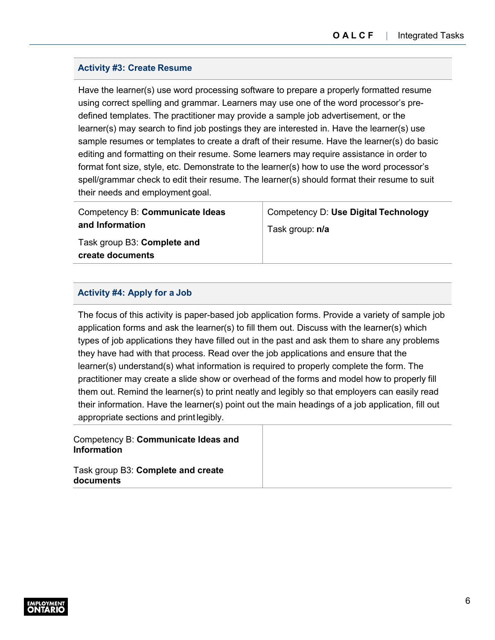### **Activity #3: Create Resume**

Have the learner(s) use word processing software to prepare a properly formatted resume using correct spelling and grammar. Learners may use one of the word processor's predefined templates. The practitioner may provide a sample job advertisement, or the learner(s) may search to find job postings they are interested in. Have the learner(s) use sample resumes or templates to create a draft of their resume. Have the learner(s) do basic editing and formatting on their resume. Some learners may require assistance in order to format font size, style, etc. Demonstrate to the learner(s) how to use the word processor's spell/grammar check to edit their resume. The learner(s) should format their resume to suit their needs and employment goal.

| Competency B: Communicate Ideas                 | Competency D: Use Digital Technology |
|-------------------------------------------------|--------------------------------------|
| and Information                                 | Task group: n/a                      |
| Task group B3: Complete and<br>create documents |                                      |

### **Activity #4: Apply for a Job**

The focus of this activity is paper-based job application forms. Provide a variety of sample job application forms and ask the learner(s) to fill them out. Discuss with the learner(s) which types of job applications they have filled out in the past and ask them to share any problems they have had with that process. Read over the job applications and ensure that the learner(s) understand(s) what information is required to properly complete the form. The practitioner may create a slide show or overhead of the forms and model how to properly fill them out. Remind the learner(s) to print neatly and legibly so that employers can easily read their information. Have the learner(s) point out the main headings of a job application, fill out appropriate sections and printlegibly.

Competency B: **Communicate Ideas and Information**

Task group B3: **Complete and create documents**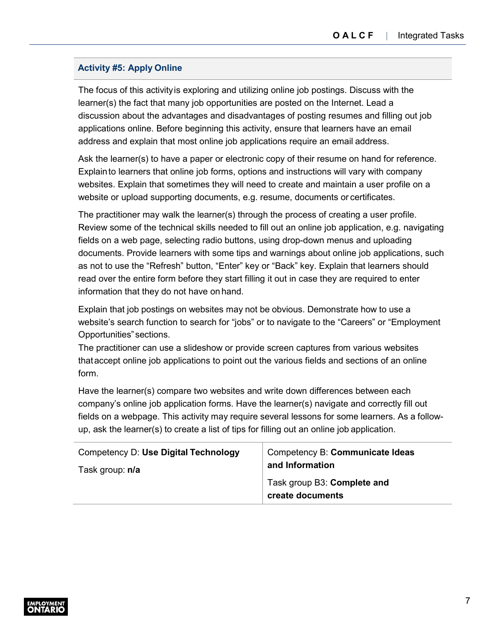### **Activity #5: Apply Online**

The focus of this activityis exploring and utilizing online job postings. Discuss with the learner(s) the fact that many job opportunities are posted on the Internet. Lead a discussion about the advantages and disadvantages of posting resumes and filling out job applications online. Before beginning this activity, ensure that learners have an email address and explain that most online job applications require an email address.

Ask the learner(s) to have a paper or electronic copy of their resume on hand for reference. Explainto learners that online job forms, options and instructions will vary with company websites. Explain that sometimes they will need to create and maintain a user profile on a website or upload supporting documents, e.g. resume, documents or certificates.

The practitioner may walk the learner(s) through the process of creating a user profile. Review some of the technical skills needed to fill out an online job application, e.g. navigating fields on a web page, selecting radio buttons, using drop-down menus and uploading documents. Provide learners with some tips and warnings about online job applications, such as not to use the "Refresh" button, "Enter" key or "Back" key. Explain that learners should read over the entire form before they start filling it out in case they are required to enter information that they do not have on hand.

Explain that job postings on websites may not be obvious. Demonstrate how to use a website's search function to search for "jobs" or to navigate to the "Careers" or "Employment Opportunities" sections.

The practitioner can use a slideshow or provide screen captures from various websites thataccept online job applications to point out the various fields and sections of an online form.

Have the learner(s) compare two websites and write down differences between each company's online job application forms. Have the learner(s) navigate and correctly fill out fields on a webpage. This activity may require several lessons for some learners. As a followup, ask the learner(s) to create a list of tips for filling out an online job application.

| Competency D: Use Digital Technology | Competency B: Communicate Ideas                 |
|--------------------------------------|-------------------------------------------------|
| Task group: n/a                      | and Information                                 |
|                                      | Task group B3: Complete and<br>create documents |

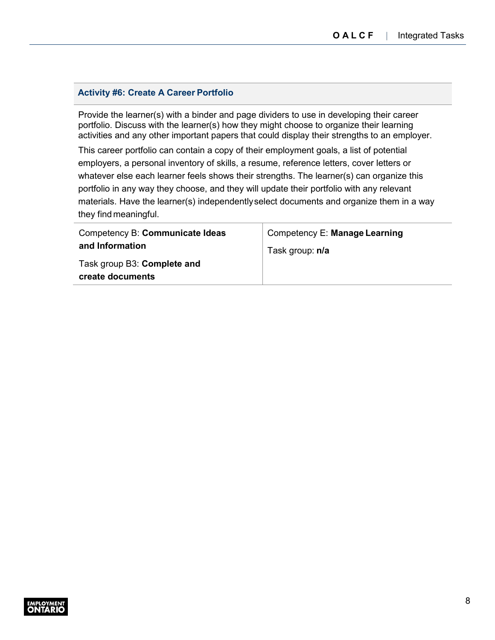j

#### **Activity #6: Create A Career Portfolio**

Provide the learner(s) with a binder and page dividers to use in developing their career portfolio. Discuss with the learner(s) how they might choose to organize their learning activities and any other important papers that could display their strengths to an employer.

This career portfolio can contain a copy of their employment goals, a list of potential employers, a personal inventory of skills, a resume, reference letters, cover letters or whatever else each learner feels shows their strengths. The learner(s) can organize this portfolio in any way they choose, and they will update their portfolio with any relevant materials. Have the learner(s) independentlyselect documents and organize them in a way they find meaningful.

| Competency B: Communicate Ideas | Competency E: Manage Learning |
|---------------------------------|-------------------------------|
| and Information                 | Task group: n/a               |
| Task group B3: Complete and     |                               |
| create documents                |                               |

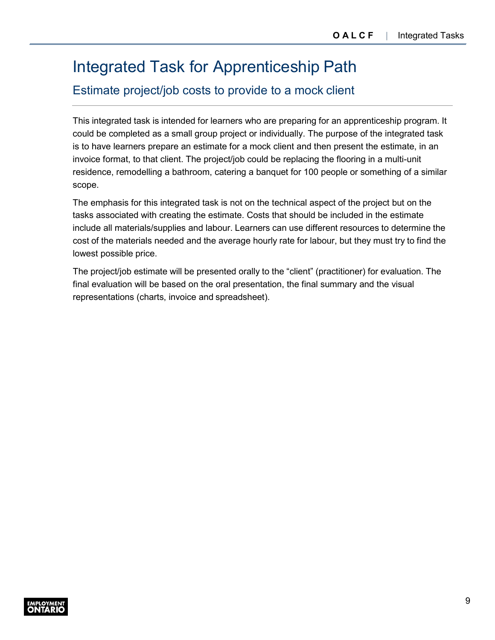j

# <span id="page-10-0"></span>Integrated Task for Apprenticeship Path

# Estimate project/job costs to provide to a mock client

This integrated task is intended for learners who are preparing for an apprenticeship program. It could be completed as a small group project or individually. The purpose of the integrated task is to have learners prepare an estimate for a mock client and then present the estimate, in an invoice format, to that client. The project/job could be replacing the flooring in a multi-unit residence, remodelling a bathroom, catering a banquet for 100 people or something of a similar scope.

The emphasis for this integrated task is not on the technical aspect of the project but on the tasks associated with creating the estimate. Costs that should be included in the estimate include all materials/supplies and labour. Learners can use different resources to determine the cost of the materials needed and the average hourly rate for labour, but they must try to find the lowest possible price.

The project/job estimate will be presented orally to the "client" (practitioner) for evaluation. The final evaluation will be based on the oral presentation, the final summary and the visual representations (charts, invoice and spreadsheet).

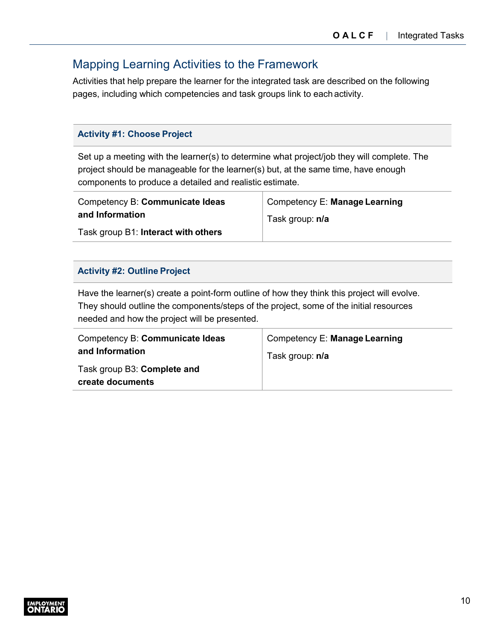# <span id="page-11-0"></span>Mapping Learning Activities to the Framework

Activities that help prepare the learner for the integrated task are described on the following pages, including which competencies and task groups link to each activity.

### **Activity #1: Choose Project**

Set up a meeting with the learner(s) to determine what project/job they will complete. The project should be manageable for the learner(s) but, at the same time, have enough components to produce a detailed and realistic estimate.

| Competency B: Communicate Ideas     | Competency E: Manage Learning |
|-------------------------------------|-------------------------------|
| and Information                     | Task group: n/a               |
| Task group B1: Interact with others |                               |

### **Activity #2: Outline Project**

Have the learner(s) create a point-form outline of how they think this project will evolve. They should outline the components/steps of the project, some of the initial resources needed and how the project will be presented.

| Competency B: Communicate Ideas | Competency E: Manage Learning |
|---------------------------------|-------------------------------|
| and Information                 | Task group: n/a               |
| Task group B3: Complete and     |                               |
| create documents                |                               |

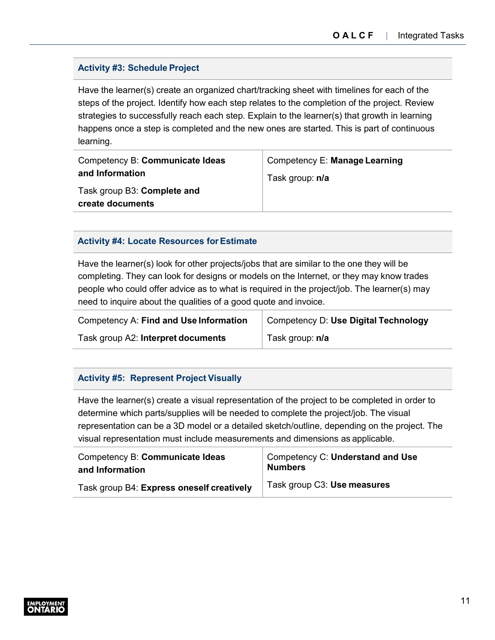### **Activity #3: Schedule Project**

Have the learner(s) create an organized chart/tracking sheet with timelines for each of the steps of the project. Identify how each step relates to the completion of the project. Review strategies to successfully reach each step. Explain to the learner(s) that growth in learning happens once a step is completed and the new ones are started. This is part of continuous learning.

| Competency B: Communicate Ideas | Competency E: Manage Learning |
|---------------------------------|-------------------------------|
| and Information                 | Task group: n/a               |
| Task group B3: Complete and     |                               |
| create documents                |                               |

### **Activity #4: Locate Resources forEstimate**

Have the learner(s) look for other projects/jobs that are similar to the one they will be completing. They can look for designs or models on the Internet, or they may know trades people who could offer advice as to what is required in the project/job. The learner(s) may need to inquire about the qualities of a good quote and invoice.

| Competency A: Find and Use Information | Competency D: Use Digital Technology |
|----------------------------------------|--------------------------------------|
| Task group A2: Interpret documents     | Task group: n/a                      |

### **Activity #5: Represent Project Visually**

Have the learner(s) create a visual representation of the project to be completed in order to determine which parts/supplies will be needed to complete the project/job. The visual representation can be a 3D model or a detailed sketch/outline, depending on the project. The visual representation must include measurements and dimensions as applicable.

| Competency B: Communicate Ideas           | Competency C: Understand and Use |
|-------------------------------------------|----------------------------------|
| and Information                           | <b>Numbers</b>                   |
| Task group B4: Express oneself creatively | Task group C3: Use measures      |

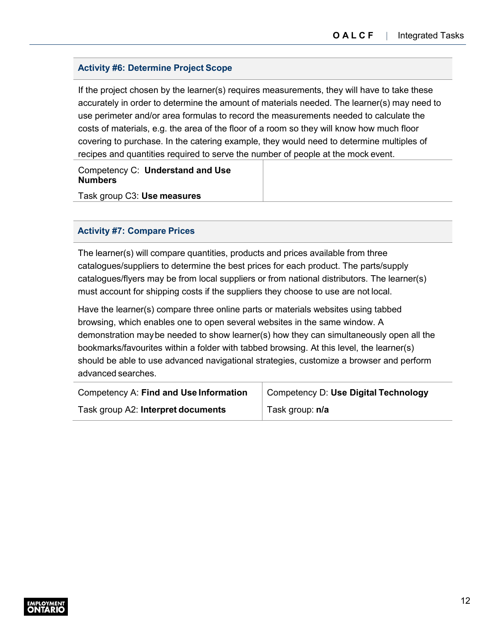### **Activity #6: Determine Project Scope**

If the project chosen by the learner(s) requires measurements, they will have to take these accurately in order to determine the amount of materials needed. The learner(s) may need to use perimeter and/or area formulas to record the measurements needed to calculate the costs of materials, e.g. the area of the floor of a room so they will know how much floor covering to purchase. In the catering example, they would need to determine multiples of recipes and quantities required to serve the number of people at the mock event.

Competency C: **Understand and Use Numbers**

Task group C3: **Use measures**

### **Activity #7: Compare Prices**

The learner(s) will compare quantities, products and prices available from three catalogues/suppliers to determine the best prices for each product. The parts/supply catalogues/flyers may be from local suppliers or from national distributors. The learner(s) must account for shipping costs if the suppliers they choose to use are not local.

Have the learner(s) compare three online parts or materials websites using tabbed browsing, which enables one to open several websites in the same window. A demonstration maybe needed to show learner(s) how they can simultaneously open all the bookmarks/favourites within a folder with tabbed browsing. At this level, the learner(s) should be able to use advanced navigational strategies, customize a browser and perform advanced searches.

| Competency A: Find and Use Information | Competency D: Use Digital Technology |
|----------------------------------------|--------------------------------------|
| Task group A2: Interpret documents     | Task group: n/a                      |

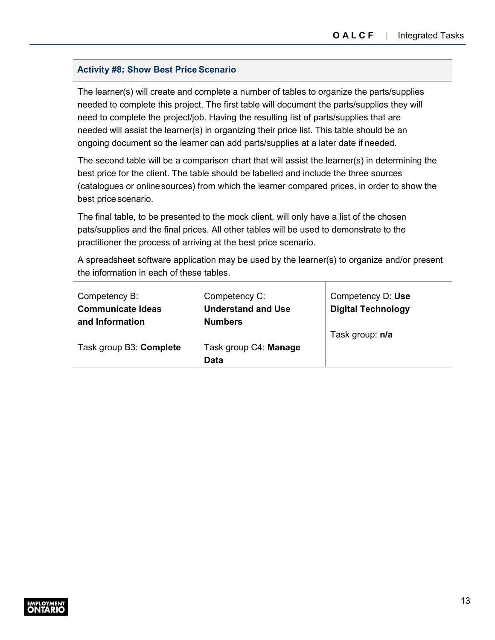### **Activity #8: Show Best Price Scenario**

The learner(s) will create and complete a number of tables to organize the parts/supplies needed to complete this project. The first table will document the parts/supplies they will need to complete the project/job. Having the resulting list of parts/supplies that are needed will assist the learner(s) in organizing their price list. This table should be an ongoing document so the learner can add parts/supplies at a later date if needed.

The second table will be a comparison chart that will assist the learner(s) in determining the best price for the client. The table should be labelled and include the three sources (catalogues or onlinesources) from which the learner compared prices, in order to show the best price scenario.

The final table, to be presented to the mock client, will only have a list of the chosen pats/supplies and the final prices. All other tables will be used to demonstrate to the practitioner the process of arriving at the best price scenario.

A spreadsheet software application may be used by the learner(s) to organize and/or present the information in each of these tables.

| Competency B:                               | Competency C:                               | Competency D: Use         |
|---------------------------------------------|---------------------------------------------|---------------------------|
| <b>Communicate Ideas</b><br>and Information | <b>Understand and Use</b><br><b>Numbers</b> | <b>Digital Technology</b> |
|                                             |                                             | Task group: n/a           |
| Task group B3: Complete                     | Task group C4: Manage                       |                           |
|                                             | Data                                        |                           |

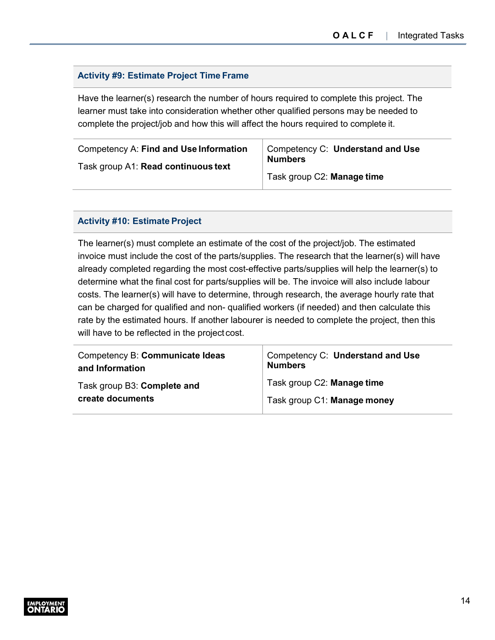### **Activity #9: Estimate Project Time Frame**

Have the learner(s) research the number of hours required to complete this project. The learner must take into consideration whether other qualified persons may be needed to complete the project/job and how this will affect the hours required to complete it.

| Competency A: Find and Use Information | Competency C: Understand and Use<br><b>Numbers</b> |
|----------------------------------------|----------------------------------------------------|
| Task group A1: Read continuous text    | Task group C2: Manage time                         |

#### **Activity #10: Estimate Project**

The learner(s) must complete an estimate of the cost of the project/job. The estimated invoice must include the cost of the parts/supplies. The research that the learner(s) will have already completed regarding the most cost-effective parts/supplies will help the learner(s) to determine what the final cost for parts/supplies will be. The invoice will also include labour costs. The learner(s) will have to determine, through research, the average hourly rate that can be charged for qualified and non- qualified workers (if needed) and then calculate this rate by the estimated hours. If another labourer is needed to complete the project, then this will have to be reflected in the project cost.

| Competency B: Communicate Ideas | Competency C: Understand and Use |
|---------------------------------|----------------------------------|
| and Information                 | <b>Numbers</b>                   |
| Task group B3: Complete and     | Task group C2: Manage time       |
| create documents                | Task group C1: Manage money      |

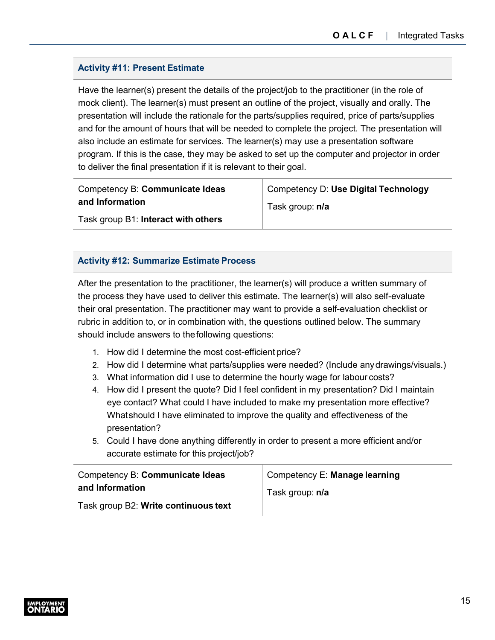### **Activity #11: Present Estimate**

Have the learner(s) present the details of the project/job to the practitioner (in the role of mock client). The learner(s) must present an outline of the project, visually and orally. The presentation will include the rationale for the parts/supplies required, price of parts/supplies and for the amount of hours that will be needed to complete the project. The presentation will also include an estimate for services. The learner(s) may use a presentation software program. If this is the case, they may be asked to set up the computer and projector in order to deliver the final presentation if it is relevant to their goal.

Competency B: **Communicate Ideas and Information**

Competency D: **Use Digital Technology** Task group: **n/a**

Task group B1: **Interact with others**

### **Activity #12: Summarize Estimate Process**

After the presentation to the practitioner, the learner(s) will produce a written summary of the process they have used to deliver this estimate. The learner(s) will also self-evaluate their oral presentation. The practitioner may want to provide a self-evaluation checklist or rubric in addition to, or in combination with, the questions outlined below. The summary should include answers to thefollowing questions:

- 1. How did I determine the most cost-efficient price?
- 2. How did I determine what parts/supplies were needed? (Include anydrawings/visuals.)
- 3. What information did I use to determine the hourly wage for labour costs?
- 4. How did I present the quote? Did I feel confident in my presentation? Did I maintain eye contact? What could I have included to make my presentation more effective? Whatshould I have eliminated to improve the quality and effectiveness of the presentation?
- 5. Could I have done anything differently in order to present a more efficient and/or accurate estimate for this project/job?

| Competency B: Communicate Ideas      | Competency E: Manage learning |
|--------------------------------------|-------------------------------|
| and Information                      | Task group: n/a               |
| Task group B2: Write continuous text |                               |

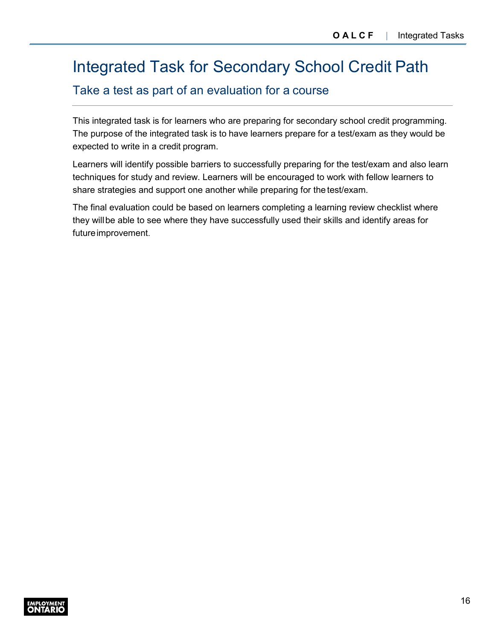# <span id="page-17-0"></span>Integrated Task for Secondary School Credit Path

### Take a test as part of an evaluation for a course

This integrated task is for learners who are preparing for secondary school credit programming. The purpose of the integrated task is to have learners prepare for a test/exam as they would be expected to write in a credit program.

Learners will identify possible barriers to successfully preparing for the test/exam and also learn techniques for study and review. Learners will be encouraged to work with fellow learners to share strategies and support one another while preparing for the test/exam.

The final evaluation could be based on learners completing a learning review checklist where they willbe able to see where they have successfully used their skills and identify areas for future improvement.

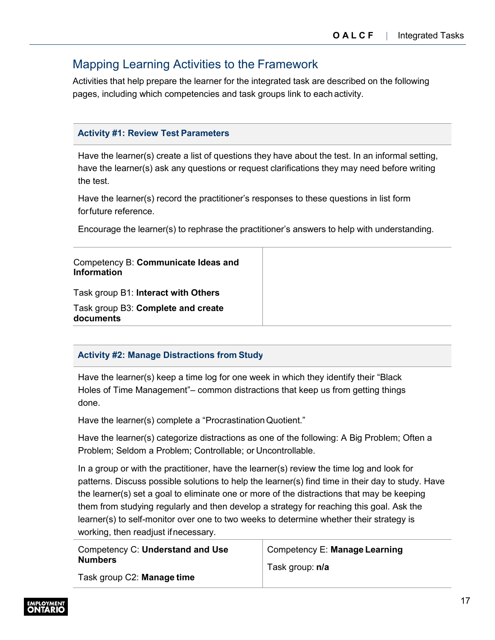# <span id="page-18-0"></span>Mapping Learning Activities to the Framework

Activities that help prepare the learner for the integrated task are described on the following pages, including which competencies and task groups link to each activity.

### **Activity #1: Review Test Parameters**

Have the learner(s) create a list of questions they have about the test. In an informal setting, have the learner(s) ask any questions or request clarifications they may need before writing the test.

Have the learner(s) record the practitioner's responses to these questions in list form forfuture reference.

Encourage the learner(s) to rephrase the practitioner's answers to help with understanding.

### **Activity #2: Manage Distractions from Study**

Have the learner(s) keep a time log for one week in which they identify their "Black Holes of Time Management"– common distractions that keep us from getting things done.

Have the learner(s) complete a "Procrastination Quotient."

Have the learner(s) categorize distractions as one of the following: A Big Problem; Often a Problem; Seldom a Problem; Controllable; or Uncontrollable.

In a group or with the practitioner, have the learner(s) review the time log and look for patterns. Discuss possible solutions to help the learner(s) find time in their day to study. Have the learner(s) set a goal to eliminate one or more of the distractions that may be keeping them from studying regularly and then develop a strategy for reaching this goal. Ask the learner(s) to self-monitor over one to two weeks to determine whether their strategy is working, then readjust ifnecessary.

| Competency C: Understand and Use | Competency E: Manage Learning |
|----------------------------------|-------------------------------|
| <b>Numbers</b>                   | Task group: n/a               |
| Task group C2: Manage time       |                               |

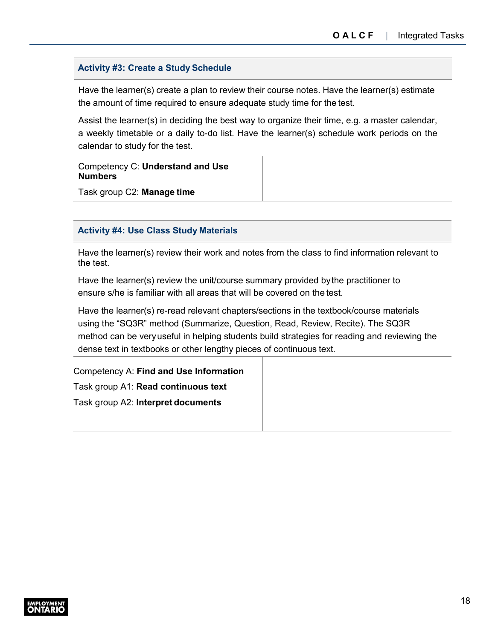#### **Activity #3: Create a Study Schedule**

Have the learner(s) create a plan to review their course notes. Have the learner(s) estimate the amount of time required to ensure adequate study time for the test.

Assist the learner(s) in deciding the best way to organize their time, e.g. a master calendar, a weekly timetable or a daily to-do list. Have the learner(s) schedule work periods on the calendar to study for the test.

Competency C: **Understand and Use Numbers**

Task group C2: **Manage time**

#### **Activity #4: Use Class Study Materials**

Have the learner(s) review their work and notes from the class to find information relevant to the test.

Have the learner(s) review the unit/course summary provided bythe practitioner to ensure s/he is familiar with all areas that will be covered on the test.

Have the learner(s) re-read relevant chapters/sections in the textbook/course materials using the "SQ3R" method (Summarize, Question, Read, Review, Recite). The SQ3R method can be veryuseful in helping students build strategies for reading and reviewing the dense text in textbooks or other lengthy pieces of continuous text.

Competency A: **Find and Use Information** Task group A1: **Read continuous text** Task group A2: **Interpret documents**

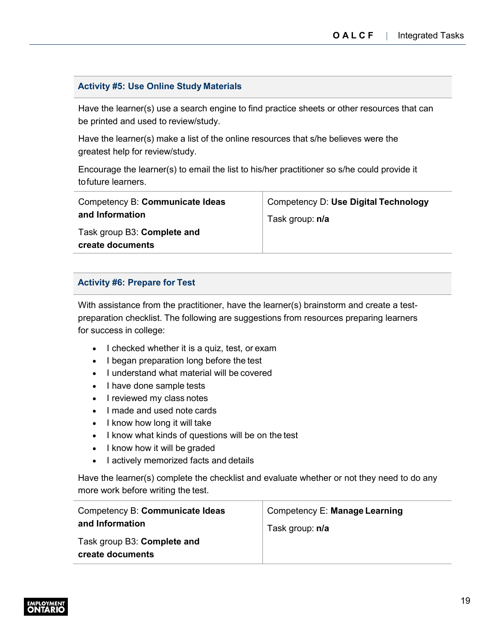### **Activity #5: Use Online Study Materials**

Have the learner(s) use a search engine to find practice sheets or other resources that can be printed and used to review/study.

Have the learner(s) make a list of the online resources that s/he believes were the greatest help for review/study.

Encourage the learner(s) to email the list to his/her practitioner so s/he could provide it tofuture learners.

| Competency B: Communicate Ideas | Competency D: Use Digital Technology |
|---------------------------------|--------------------------------------|
| and Information                 | Task group: n/a                      |
| Task group B3: Complete and     |                                      |
| create documents                |                                      |

### **Activity #6: Prepare for Test**

With assistance from the practitioner, have the learner(s) brainstorm and create a testpreparation checklist. The following are suggestions from resources preparing learners for success in college:

- I checked whether it is a quiz, test, or exam
- I began preparation long before the test
- I understand what material will be covered
- I have done sample tests
- I reviewed my class notes
- I made and used note cards
- I know how long it will take
- I know what kinds of questions will be on the test
- I know how it will be graded
- I actively memorized facts and details

Have the learner(s) complete the checklist and evaluate whether or not they need to do any more work before writing the test.

| Competency B: Communicate Ideas | Competency E: Manage Learning |
|---------------------------------|-------------------------------|
| and Information                 | Task group: n/a               |
| Task group B3: Complete and     |                               |
| create documents                |                               |

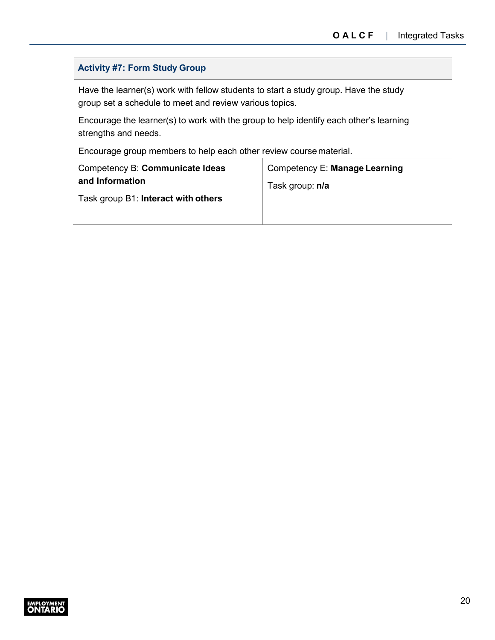### **Activity #7: Form Study Group**

Have the learner(s) work with fellow students to start a study group. Have the study group set a schedule to meet and review various topics.

Encourage the learner(s) to work with the group to help identify each other's learning strengths and needs.

Encourage group members to help each other review course material.

| Competency B: Communicate Ideas     | Competency E: Manage Learning |
|-------------------------------------|-------------------------------|
| and Information                     | Task group: n/a               |
| Task group B1: Interact with others |                               |

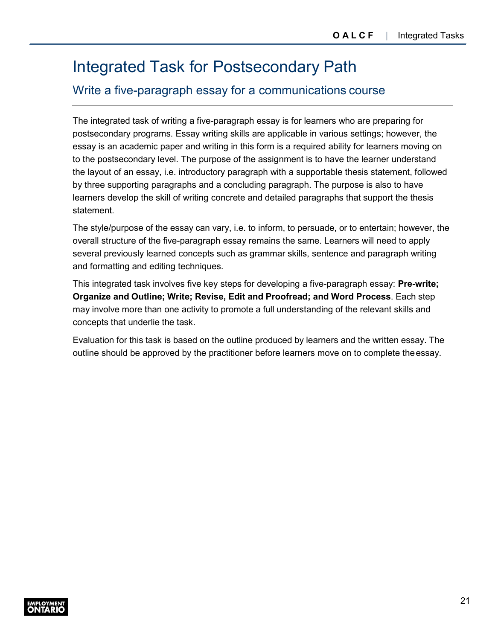# <span id="page-22-0"></span>Integrated Task for Postsecondary Path

### Write a five-paragraph essay for a communications course

The integrated task of writing a five-paragraph essay is for learners who are preparing for postsecondary programs. Essay writing skills are applicable in various settings; however, the essay is an academic paper and writing in this form is a required ability for learners moving on to the postsecondary level. The purpose of the assignment is to have the learner understand the layout of an essay, i.e. introductory paragraph with a supportable thesis statement, followed by three supporting paragraphs and a concluding paragraph. The purpose is also to have learners develop the skill of writing concrete and detailed paragraphs that support the thesis statement.

The style/purpose of the essay can vary, i.e. to inform, to persuade, or to entertain; however, the overall structure of the five-paragraph essay remains the same. Learners will need to apply several previously learned concepts such as grammar skills, sentence and paragraph writing and formatting and editing techniques.

This integrated task involves five key steps for developing a five-paragraph essay: **Pre-write; Organize and Outline; Write; Revise, Edit and Proofread; and Word Process**. Each step may involve more than one activity to promote a full understanding of the relevant skills and concepts that underlie the task.

Evaluation for this task is based on the outline produced by learners and the written essay. The outline should be approved by the practitioner before learners move on to complete the essay.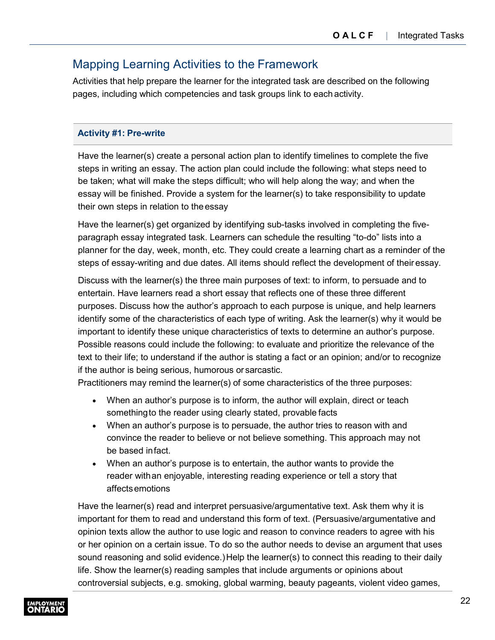### <span id="page-23-0"></span>Mapping Learning Activities to the Framework

Activities that help prepare the learner for the integrated task are described on the following pages, including which competencies and task groups link to each activity.

### **Activity #1: Pre-write**

Have the learner(s) create a personal action plan to identify timelines to complete the five steps in writing an essay. The action plan could include the following: what steps need to be taken; what will make the steps difficult; who will help along the way; and when the essay will be finished. Provide a system for the learner(s) to take responsibility to update their own steps in relation to theessay

Have the learner(s) get organized by identifying sub-tasks involved in completing the fiveparagraph essay integrated task. Learners can schedule the resulting "to-do" lists into a planner for the day, week, month, etc. They could create a learning chart as a reminder of the steps of essay-writing and due dates. All items should reflect the development of their essay.

Discuss with the learner(s) the three main purposes of text: to inform, to persuade and to entertain. Have learners read a short essay that reflects one of these three different purposes. Discuss how the author's approach to each purpose is unique, and help learners identify some of the characteristics of each type of writing. Ask the learner(s) why it would be important to identify these unique characteristics of texts to determine an author's purpose. Possible reasons could include the following: to evaluate and prioritize the relevance of the text to their life; to understand if the author is stating a fact or an opinion; and/or to recognize if the author is being serious, humorous or sarcastic.

Practitioners may remind the learner(s) of some characteristics of the three purposes:

- When an author's purpose is to inform, the author will explain, direct or teach somethingto the reader using clearly stated, provable facts
- When an author's purpose is to persuade, the author tries to reason with and convince the reader to believe or not believe something. This approach may not be based infact.
- When an author's purpose is to entertain, the author wants to provide the reader withan enjoyable, interesting reading experience or tell a story that affectsemotions

Have the learner(s) read and interpret persuasive/argumentative text. Ask them why it is important for them to read and understand this form of text. (Persuasive/argumentative and opinion texts allow the author to use logic and reason to convince readers to agree with his or her opinion on a certain issue. To do so the author needs to devise an argument that uses sound reasoning and solid evidence.) Help the learner(s) to connect this reading to their daily life. Show the learner(s) reading samples that include arguments or opinions about controversial subjects, e.g. smoking, global warming, beauty pageants, violent video games,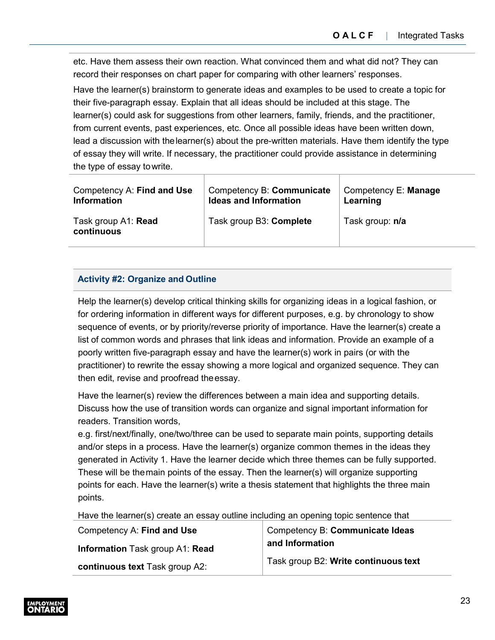etc. Have them assess their own reaction. What convinced them and what did not? They can record their responses on chart paper for comparing with other learners' responses.

Have the learner(s) brainstorm to generate ideas and examples to be used to create a topic for their five-paragraph essay. Explain that all ideas should be included at this stage. The learner(s) could ask for suggestions from other learners, family, friends, and the practitioner, from current events, past experiences, etc. Once all possible ideas have been written down, lead a discussion with thelearner(s) about the pre-written materials. Have them identify the type of essay they will write. If necessary, the practitioner could provide assistance in determining the type of essay towrite.

| Competency A: Find and Use        | Competency B: Communicate    | Competency E: Manage |
|-----------------------------------|------------------------------|----------------------|
| <b>Information</b>                | <b>Ideas and Information</b> | Learning             |
| Task group A1: Read<br>continuous | Task group B3: Complete      | Task group: n/a      |

### **Activity #2: Organize and Outline**

Help the learner(s) develop critical thinking skills for organizing ideas in a logical fashion, or for ordering information in different ways for different purposes, e.g. by chronology to show sequence of events, or by priority/reverse priority of importance. Have the learner(s) create a list of common words and phrases that link ideas and information. Provide an example of a poorly written five-paragraph essay and have the learner(s) work in pairs (or with the practitioner) to rewrite the essay showing a more logical and organized sequence. They can then edit, revise and proofread theessay.

Have the learner(s) review the differences between a main idea and supporting details. Discuss how the use of transition words can organize and signal important information for readers. Transition words,

e.g. first/next/finally, one/two/three can be used to separate main points, supporting details and/or steps in a process. Have the learner(s) organize common themes in the ideas they generated in Activity 1. Have the learner decide which three themes can be fully supported. These will be themain points of the essay. Then the learner(s) will organize supporting points for each. Have the learner(s) write a thesis statement that highlights the three main points.

Have the learner(s) create an essay outline including an opening topic sentence that

| Competency A: Find and Use      | Competency B: Communicate Ideas      |
|---------------------------------|--------------------------------------|
| Information Task group A1: Read | and Information                      |
| continuous text Task group A2:  | Task group B2: Write continuous text |

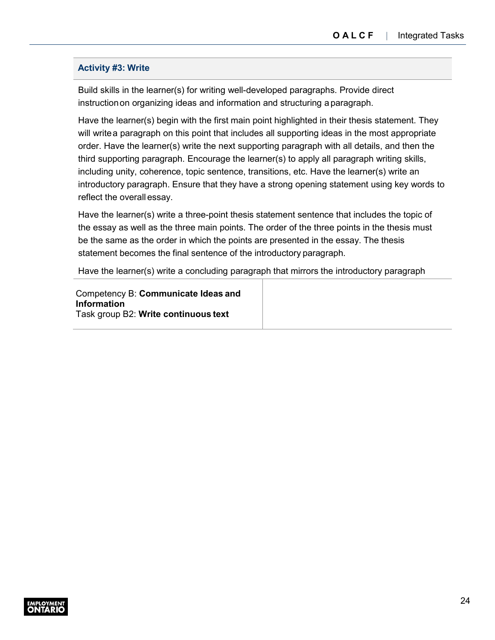### **Activity #3: Write**

Build skills in the learner(s) for writing well-developed paragraphs. Provide direct instructionon organizing ideas and information and structuring aparagraph.

Have the learner(s) begin with the first main point highlighted in their thesis statement. They will writea paragraph on this point that includes all supporting ideas in the most appropriate order. Have the learner(s) write the next supporting paragraph with all details, and then the third supporting paragraph. Encourage the learner(s) to apply all paragraph writing skills, including unity, coherence, topic sentence, transitions, etc. Have the learner(s) write an introductory paragraph. Ensure that they have a strong opening statement using key words to reflect the overall essay.

Have the learner(s) write a three-point thesis statement sentence that includes the topic of the essay as well as the three main points. The order of the three points in the thesis must be the same as the order in which the points are presented in the essay. The thesis statement becomes the final sentence of the introductory paragraph.

Have the learner(s) write a concluding paragraph that mirrors the introductory paragraph

Competency B: **Communicate Ideas and Information** Task group B2: **Write continuous text**

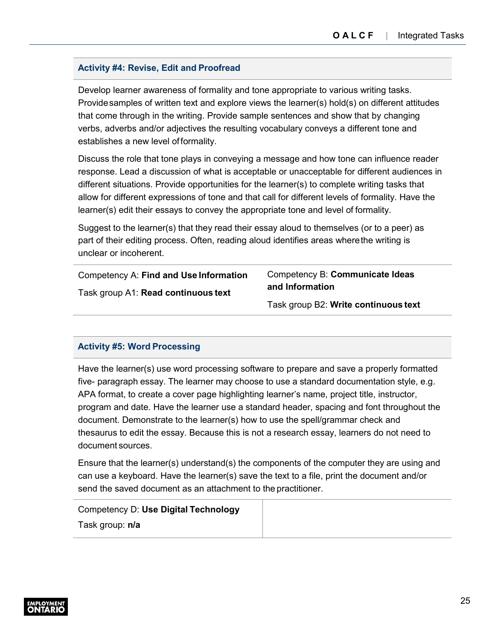### **Activity #4: Revise, Edit and Proofread**

Develop learner awareness of formality and tone appropriate to various writing tasks. Providesamples of written text and explore views the learner(s) hold(s) on different attitudes that come through in the writing. Provide sample sentences and show that by changing verbs, adverbs and/or adjectives the resulting vocabulary conveys a different tone and establishes a new level offormality.

Discuss the role that tone plays in conveying a message and how tone can influence reader response. Lead a discussion of what is acceptable or unacceptable for different audiences in different situations. Provide opportunities for the learner(s) to complete writing tasks that allow for different expressions of tone and that call for different levels of formality. Have the learner(s) edit their essays to convey the appropriate tone and level of formality.

Suggest to the learner(s) that they read their essay aloud to themselves (or to a peer) as part of their editing process. Often, reading aloud identifies areas wherethe writing is unclear or incoherent.

| Competency A: Find and Use Information | Competency B: Communicate Ideas      |
|----------------------------------------|--------------------------------------|
| Task group A1: Read continuous text    | and Information                      |
|                                        | Task group B2: Write continuous text |

### **Activity #5: Word Processing**

Have the learner(s) use word processing software to prepare and save a properly formatted five- paragraph essay. The learner may choose to use a standard documentation style, e.g. APA format, to create a cover page highlighting learner's name, project title, instructor, program and date. Have the learner use a standard header, spacing and font throughout the document. Demonstrate to the learner(s) how to use the spell/grammar check and thesaurus to edit the essay. Because this is not a research essay, learners do not need to document sources.

Ensure that the learner(s) understand(s) the components of the computer they are using and can use a keyboard. Have the learner(s) save the text to a file, print the document and/or send the saved document as an attachment to the practitioner.

| Competency D: Use Digital Technology |  |
|--------------------------------------|--|
| Task group: n/a                      |  |

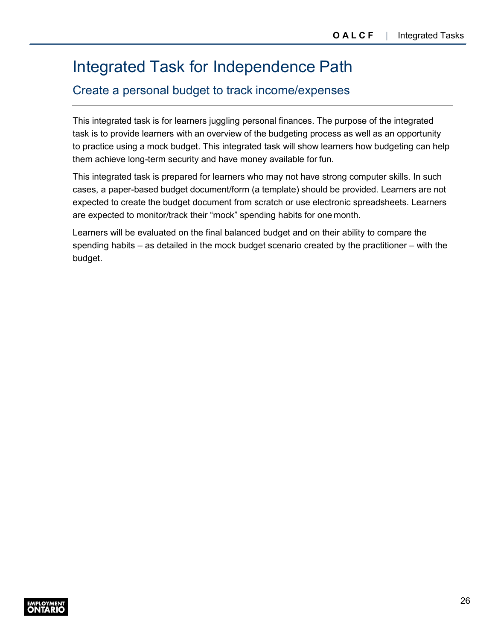# <span id="page-27-0"></span>Integrated Task for Independence Path

### Create a personal budget to track income/expenses

This integrated task is for learners juggling personal finances. The purpose of the integrated task is to provide learners with an overview of the budgeting process as well as an opportunity to practice using a mock budget. This integrated task will show learners how budgeting can help them achieve long-term security and have money available for fun.

This integrated task is prepared for learners who may not have strong computer skills. In such cases, a paper-based budget document/form (a template) should be provided. Learners are not expected to create the budget document from scratch or use electronic spreadsheets. Learners are expected to monitor/track their "mock" spending habits for one month.

Learners will be evaluated on the final balanced budget and on their ability to compare the spending habits – as detailed in the mock budget scenario created by the practitioner – with the budget.

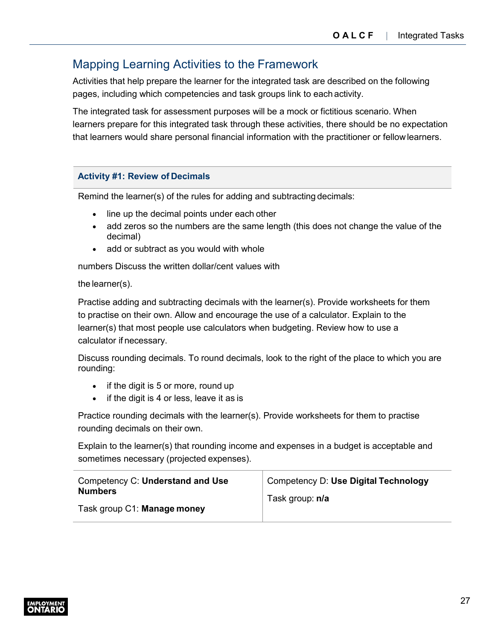### <span id="page-28-0"></span>Mapping Learning Activities to the Framework

Activities that help prepare the learner for the integrated task are described on the following pages, including which competencies and task groups link to each activity.

The integrated task for assessment purposes will be a mock or fictitious scenario. When learners prepare for this integrated task through these activities, there should be no expectation that learners would share personal financial information with the practitioner or fellowlearners.

### **Activity #1: Review of Decimals**

Remind the learner(s) of the rules for adding and subtracting decimals:

- line up the decimal points under each other
- add zeros so the numbers are the same length (this does not change the value of the decimal)
- add or subtract as you would with whole

numbers Discuss the written dollar/cent values with

### the learner(s).

Practise adding and subtracting decimals with the learner(s). Provide worksheets for them to practise on their own. Allow and encourage the use of a calculator. Explain to the learner(s) that most people use calculators when budgeting. Review how to use a calculator if necessary.

Discuss rounding decimals. To round decimals, look to the right of the place to which you are rounding:

- if the digit is 5 or more, round up
- if the digit is 4 or less, leave it as is

Practice rounding decimals with the learner(s). Provide worksheets for them to practise rounding decimals on their own.

Explain to the learner(s) that rounding income and expenses in a budget is acceptable and sometimes necessary (projected expenses).

| Competency C: Understand and Use | Competency D: Use Digital Technology |
|----------------------------------|--------------------------------------|
| <b>Numbers</b>                   | Task group: n/a                      |
| Task group C1: Manage money      |                                      |

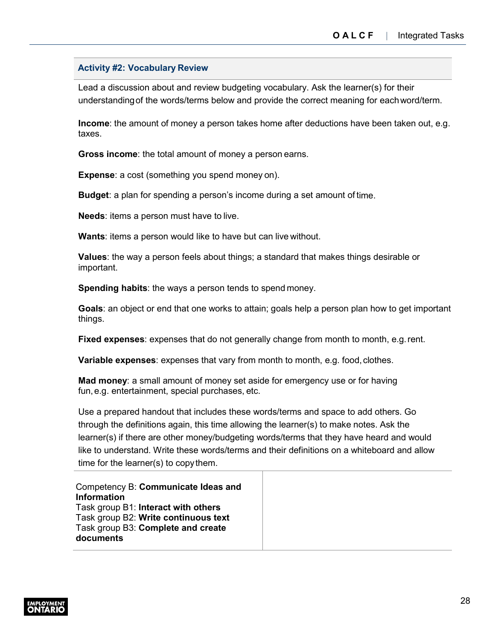#### **Activity #2: Vocabulary Review**

Lead a discussion about and review budgeting vocabulary. Ask the learner(s) for their understandingof the words/terms below and provide the correct meaning for eachword/term.

**Income**: the amount of money a person takes home after deductions have been taken out, e.g. taxes.

**Gross income**: the total amount of money a person earns.

**Expense**: a cost (something you spend money on).

**Budget**: a plan for spending a person's income during a set amount of time.

**Needs**: items a person must have to live.

**Wants**: items a person would like to have but can live without.

**Values**: the way a person feels about things; a standard that makes things desirable or important.

**Spending habits**: the ways a person tends to spend money.

**Goals**: an object or end that one works to attain; goals help a person plan how to get important things.

**Fixed expenses**: expenses that do not generally change from month to month, e.g.rent.

**Variable expenses**: expenses that vary from month to month, e.g. food, clothes.

**Mad money**: a small amount of money set aside for emergency use or for having fun,e.g. entertainment, special purchases, etc.

Use a prepared handout that includes these words/terms and space to add others. Go through the definitions again, this time allowing the learner(s) to make notes. Ask the learner(s) if there are other money/budgeting words/terms that they have heard and would like to understand. Write these words/terms and their definitions on a whiteboard and allow time for the learner(s) to copythem.

Competency B: **Communicate Ideas and Information**  Task group B1: **Interact with others**  Task group B2: **Write continuous text**  Task group B3: **Complete and create documents**

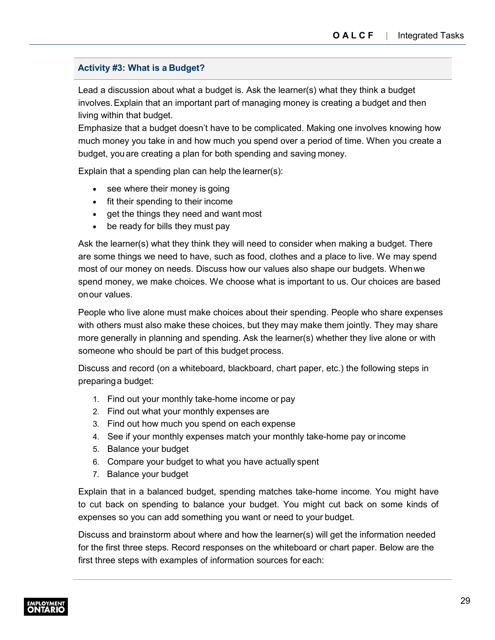### **Activity #3: What is a Budget?**

Lead a discussion about what a budget is. Ask the learner(s) what they think a budget involves.Explain that an important part of managing money is creating a budget and then living within that budget.

Emphasize that a budget doesn't have to be complicated. Making one involves knowing how much money you take in and how much you spend over a period of time. When you create a budget, youare creating a plan for both spending and saving money.

Explain that a spending plan can help the learner(s):

- see where their money is going
- fit their spending to their income
- get the things they need and want most
- be ready for bills they must pay

Ask the learner(s) what they think they will need to consider when making a budget. There are some things we need to have, such as food, clothes and a place to live. We may spend most of our money on needs. Discuss how our values also shape our budgets. Whenwe spend money, we make choices. We choose what is important to us. Our choices are based onour values.

People who live alone must make choices about their spending. People who share expenses with others must also make these choices, but they may make them jointly. They may share more generally in planning and spending. Ask the learner(s) whether they live alone or with someone who should be part of this budget process.

Discuss and record (on a whiteboard, blackboard, chart paper, etc.) the following steps in preparinga budget:

- 1. Find out your monthly take-home income or pay
- 2. Find out what your monthly expenses are
- 3. Find out how much you spend on each expense
- 4. See if your monthly expenses match your monthly take-home pay orincome
- 5. Balance your budget
- 6. Compare your budget to what you have actually spent
- 7. Balance your budget

Explain that in a balanced budget, spending matches take-home income. You might have to cut back on spending to balance your budget. You might cut back on some kinds of expenses so you can add something you want or need to your budget.

Discuss and brainstorm about where and how the learner(s) will get the information needed for the first three steps. Record responses on the whiteboard or chart paper. Below are the first three steps with examples of information sources for each:

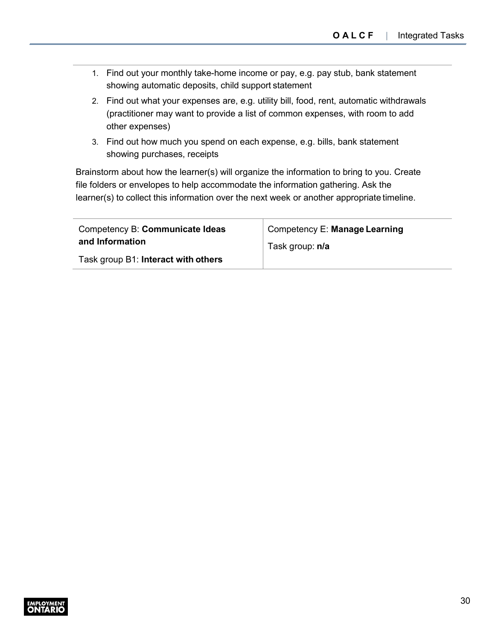- 1. Find out your monthly take-home income or pay, e.g. pay stub, bank statement showing automatic deposits, child support statement
- 2. Find out what your expenses are, e.g. utility bill, food, rent, automatic withdrawals (practitioner may want to provide a list of common expenses, with room to add other expenses)
- 3. Find out how much you spend on each expense, e.g. bills, bank statement showing purchases, receipts

Brainstorm about how the learner(s) will organize the information to bring to you. Create file folders or envelopes to help accommodate the information gathering. Ask the learner(s) to collect this information over the next week or another appropriate timeline.

| Competency B: Communicate Ideas     | Competency E: Manage Learning |
|-------------------------------------|-------------------------------|
| and Information                     | Task group: n/a               |
| Task group B1: Interact with others |                               |

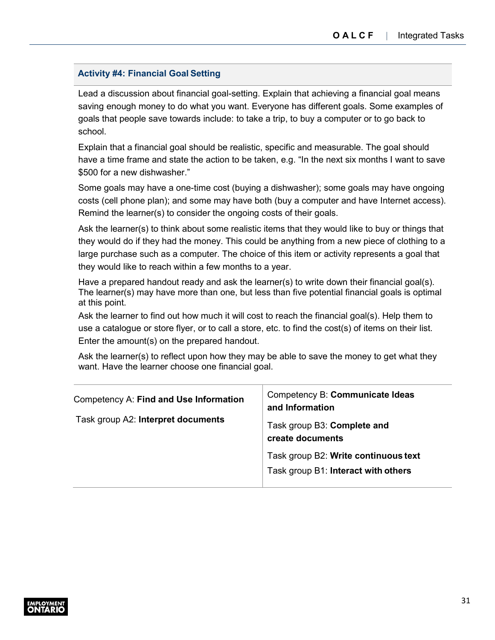#### **Activity #4: Financial Goal Setting**

Lead a discussion about financial goal-setting. Explain that achieving a financial goal means saving enough money to do what you want. Everyone has different goals. Some examples of goals that people save towards include: to take a trip, to buy a computer or to go back to school.

Explain that a financial goal should be realistic, specific and measurable. The goal should have a time frame and state the action to be taken, e.g. "In the next six months I want to save \$500 for a new dishwasher."

Some goals may have a one-time cost (buying a dishwasher); some goals may have ongoing costs (cell phone plan); and some may have both (buy a computer and have Internet access). Remind the learner(s) to consider the ongoing costs of their goals.

Ask the learner(s) to think about some realistic items that they would like to buy or things that they would do if they had the money. This could be anything from a new piece of clothing to a large purchase such as a computer. The choice of this item or activity represents a goal that they would like to reach within a few months to a year.

Have a prepared handout ready and ask the learner(s) to write down their financial goal(s). The learner(s) may have more than one, but less than five potential financial goals is optimal at this point.

Ask the learner to find out how much it will cost to reach the financial goal(s). Help them to use a catalogue or store flyer, or to call a store, etc. to find the cost(s) of items on their list. Enter the amount(s) on the prepared handout.

Ask the learner(s) to reflect upon how they may be able to save the money to get what they want. Have the learner choose one financial goal.

| Competency A: Find and Use Information | Competency B: Communicate Ideas<br>and Information                          |
|----------------------------------------|-----------------------------------------------------------------------------|
| Task group A2: Interpret documents     | Task group B3: Complete and<br>create documents                             |
|                                        | Task group B2: Write continuous text<br>Task group B1: Interact with others |